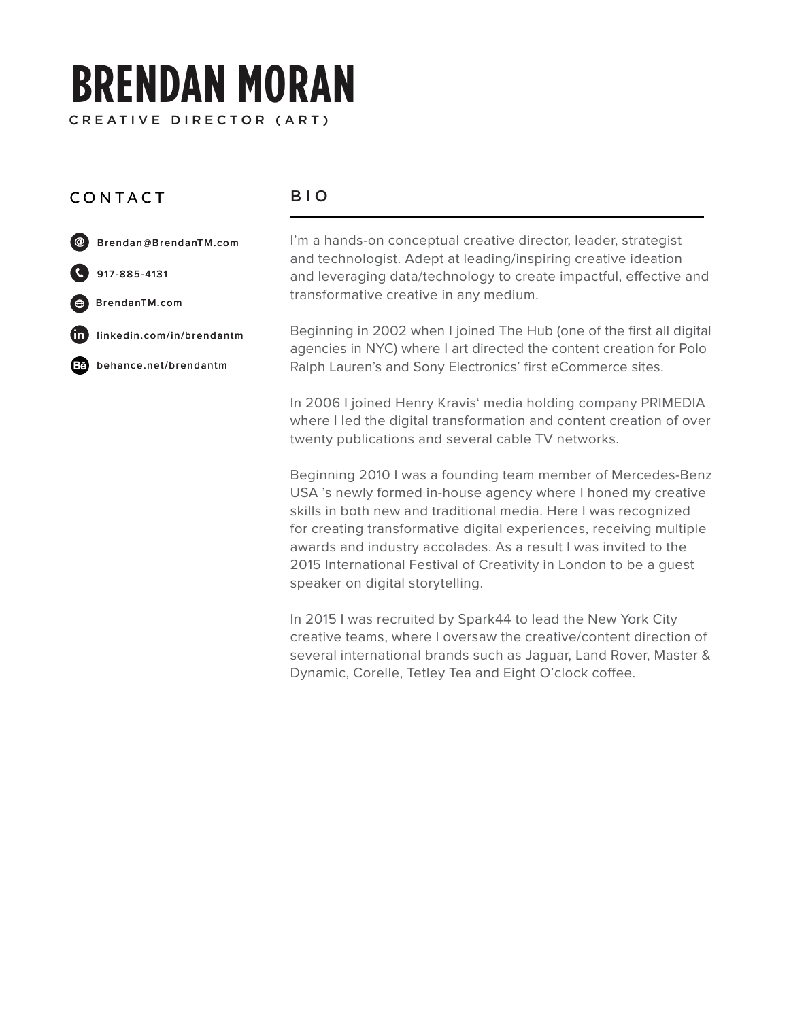# **BRENDAN MORAN** CREATIVE DIRECTOR (ART)

## CONTACT

#### BIO

- Brendan@BrendanTM.com
- 917-885-4131
- BrendanTM.com
- linkedin.com/in/brendantm Ŵ
- œ behance.net/brendantm

I'm a hands-on conceptual creative director, leader, strategist and technologist. Adept at leading/inspiring creative ideation and leveraging data/technology to create impactful, effective and transformative creative in any medium.

Beginning in 2002 when I joined The Hub (one of the first all digital agencies in NYC) where I art directed the content creation for Polo Ralph Lauren's and Sony Electronics' first eCommerce sites.

In 2006 I joined Henry Kravis' media holding company PRIMEDIA where I led the digital transformation and content creation of over twenty publications and several cable TV networks.

Beginning 2010 I was a founding team member of Mercedes-Benz USA 's newly formed in-house agency where I honed my creative skills in both new and traditional media. Here I was recognized for creating transformative digital experiences, receiving multiple awards and industry accolades. As a result I was invited to the 2015 International Festival of Creativity in London to be a guest speaker on digital storytelling.

In 2015 I was recruited by Spark44 to lead the New York City creative teams, where I oversaw the creative/content direction of several international brands such as Jaguar, Land Rover, Master & Dynamic, Corelle, Tetley Tea and Eight O'clock coffee.